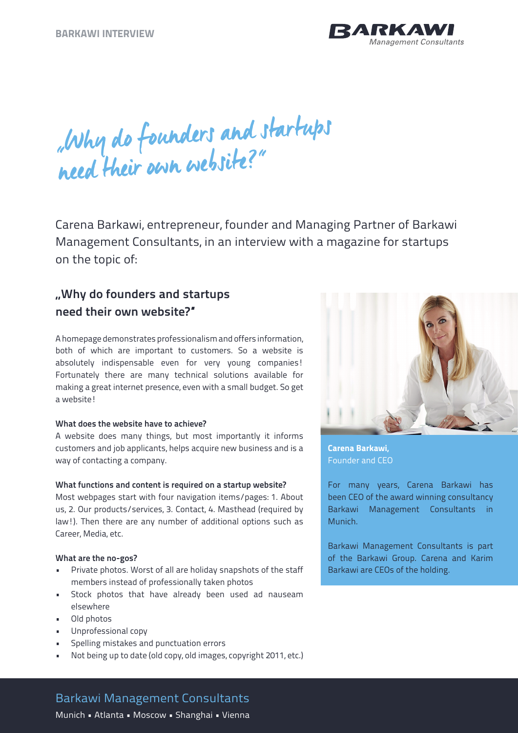

"Why do founders and startups need their own website?"

Carena Barkawi, entrepreneur, founder and Managing Partner of Barkawi Management Consultants, in an interview with a magazine for startups on the topic of:

# **"Why do founders and startups need their own website?"**

A homepage demonstrates professionalism and offers information, both of which are important to customers. So a website is absolutely indispensable even for very young companies! Fortunately there are many technical solutions available for making a great internet presence, even with a small budget. So get a website!

# **What does the website have to achieve?**

A website does many things, but most importantly it informs customers and job applicants, helps acquire new business and is a way of contacting a company.

#### **What functions and content is required on a startup website?**

Most webpages start with four navigation items/pages: 1. About us, 2. Our products/services, 3. Contact, 4. Masthead (required by law!). Then there are any number of additional options such as Career, Media, etc.

#### **What are the no-gos?**

- Private photos. Worst of all are holiday snapshots of the staff members instead of professionally taken photos
- Stock photos that have already been used ad nauseam elsewhere
- Old photos
- Unprofessional copy
- Spelling mistakes and punctuation errors
- Not being up to date (old copy, old images, copyright 2011, etc.)



**Carena Barkawi,**  Founder and CEO

For many years, Carena Barkawi has been CEO of the award winning consultancy Barkawi Management Consultants in Munich.

Barkawi Management Consultants is part of the Barkawi Group. Carena and Karim Barkawi are CEOs of the holding.

# Barkawi Management Consultants

Munich • Atlanta • Moscow • Shanghai • Vienna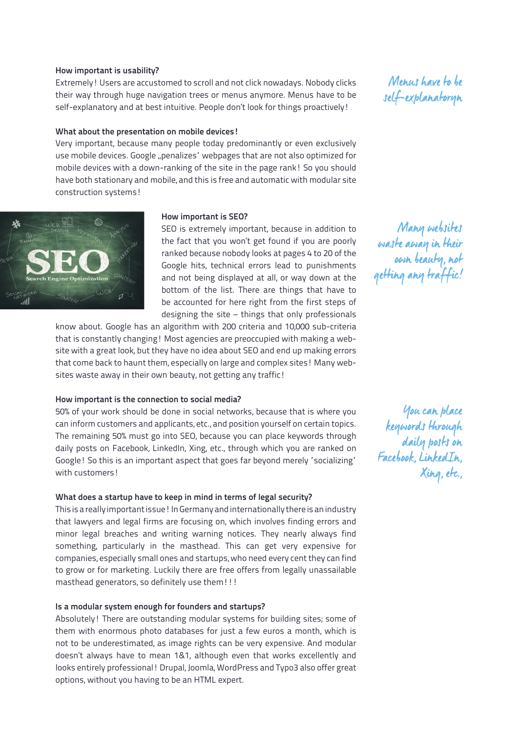#### **How important is usability?**

Extremely! Users are accustomed to scroll and not click nowadays. Nobody clicks their way through huge navigation trees or menus anymore. Menus have to be self-explanatory and at best intuitive. People don't look for things proactively!

## **What about the presentation on mobile devices!**

Very important, because many people today predominantly or even exclusively use mobile devices. Google "penalizes' webpages that are not also optimized for mobile devices with a down-ranking of the site in the page rank! So you should have both stationary and mobile, and this is free and automatic with modular site construction systems!



#### **How important is SEO?**

SEO is extremely important, because in addition to the fact that you won't get found if you are poorly ranked because nobody looks at pages 4 to 20 of the Google hits, technical errors lead to punishments and not being displayed at all, or way down at the bottom of the list. There are things that have to be accounted for here right from the first steps of designing the site – things that only professionals

know about. Google has an algorithm with 200 criteria and 10,000 sub-criteria that is constantly changing! Most agencies are preoccupied with making a website with a great look, but they have no idea about SEO and end up making errors that come back to haunt them, especially on large and complex sites! Many websites waste away in their own beauty, not getting any traffic!

#### **How important is the connection to social media?**

50% of your work should be done in social networks, because that is where you can inform customers and applicants, etc., and position yourself on certain topics. The remaining 50% must go into SEO, because you can place keywords through daily posts on Facebook, LinkedIn, Xing, etc., through which you are ranked on Google! So this is an important aspect that goes far beyond merely "socializing" with customers!

#### **What does a startup have to keep in mind in terms of legal security?**

This is a really important issue! In Germany and internationally there is an industry that lawyers and legal firms are focusing on, which involves finding errors and minor legal breaches and writing warning notices. They nearly always find something, particularly in the masthead. This can get very expensive for companies, especially small ones and startups, who need every cent they can find to grow or for marketing. Luckily there are free offers from legally unassailable masthead generators, so definitely use them!!!

#### **Is a modular system enough for founders and startups?**

Absolutely! There are outstanding modular systems for building sites; some of them with enormous photo databases for just a few euros a month, which is not to be underestimated, as image rights can be very expensive. And modular doesn't always have to mean 1&1, although even that works excellently and looks entirely professional! Drupal, Joomla, WordPress and Typo3 also offer great options, without you having to be an HTML expert.

Menus have to be self-explanatoryn

Many websites waste away in their own beauty, not getting any traffic!

You can place keywords through daily posts on Facebook, LinkedIn, Xing, etc.,